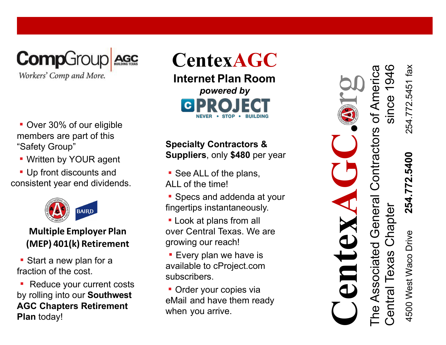**Comp**Grou Workers' Comp and More.

■ Over 30% of our eligible members are part of this "Safety Group"

■ Written by YOUR agent

**• Up front discounts and** consistent year end dividends.



## **Multiple Employer Plan (MEP) 401(k) Retirement**

■ Start a new plan for a fraction of the cost.

■ Reduce your current costs by rolling into our **Southwest AGC Chapters Retirement Plan** today!

**CentexAGC**

**Internet Plan Room** *powered by*

## **Specialty Contractors & Suppliers**, only **\$480** per year

- See ALL of the plans, ALL of the time!
- Specs and addenda at your fingertips instantaneously.
- **.** Look at plans from all over Central Texas. We are growing our reach!
- **Every plan we have is** available to cProject.com subscribers.
- **Order your copies via** eMail and have them ready when you arrive.

C Central Texas Chapter since 1946 254.772.5451 fax 254.772.5451 fax The Associated General Contractors of America  $\overline{4}$ **CentexAGC.** rg since Contractors of Am 254.772.5400 **254.772.5400** The Associated General entral Texas Chapter 4500 West Waco Drive 4500 West Waco Drive